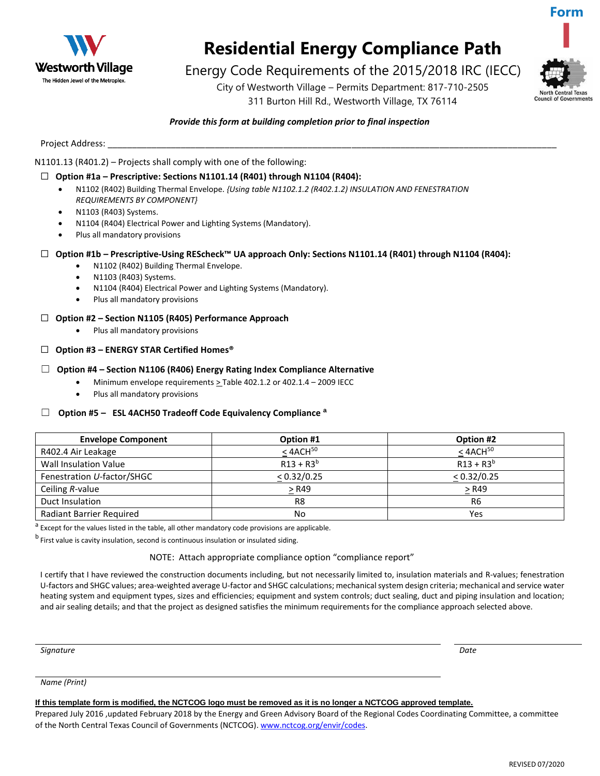

## **Residential Energy Compliance Path**

### Energy Code Requirements of the 2015/2018 IRC (IECC)

City of Westworth Village – Permits Department: 817-710-2505 311 Burton Hill Rd., Westworth Village, TX 76114



**Form**

#### *Provide this form at building completion prior to final inspection*

Project Address:

#### N1101.13 (R401.2) – Projects shall comply with one of the following:

#### ☐ **Option #1a – Prescriptive: Sections N1101.14 (R401) through N1104 (R404):**

- N1102 (R402) Building Thermal Envelope. *{Using table N1102.1.2 (R402.1.2) INSULATION AND FENESTRATION REQUIREMENTS BY COMPONENT}*
- N1103 (R403) Systems.
- N1104 (R404) Electrical Power and Lighting Systems (Mandatory).
- Plus all mandatory provisions

#### ☐ **Option #1b – Prescriptive-Using REScheck™ UA approach Only: Sections N1101.14 (R401) through N1104 (R404):**

- N1102 (R402) Building Thermal Envelope.
- N1103 (R403) Systems.
- N1104 (R404) Electrical Power and Lighting Systems (Mandatory).
- Plus all mandatory provisions
- ☐ **Option #2 – Section N1105 (R405) Performance Approach** 
	- Plus all mandatory provisions
- ☐ **Option #3 – ENERGY STAR Certified Homes®**

#### ☐ **Option #4 – Section N1106 (R406) Energy Rating Index Compliance Alternative**

- Minimum envelope requirements  $\geq$  Table 402.1.2 or 402.1.4 2009 IECC
- Plus all mandatory provisions

#### ☐ **Option #5 – ESL 4ACH50 Tradeoff Code Equivalency Compliance <sup>a</sup>**

| <b>Envelope Component</b>       | Option #1      | Option #2        |
|---------------------------------|----------------|------------------|
| R402.4 Air Leakage              | $< 4$ ACH $50$ | $<$ 4ACH $^{50}$ |
| <b>Wall Insulation Value</b>    | $R13 + R3^{b}$ | $R13 + R3^{b}$   |
| Fenestration U-factor/SHGC      | < 0.32/0.25    | < 0.32/0.25      |
| Ceiling R-value                 | $>$ R49        | > R49            |
| Duct Insulation                 | R <sub>8</sub> | R <sub>6</sub>   |
| <b>Radiant Barrier Required</b> | No             | Yes              |

<sup>a</sup> Except for the values listed in the table, all other mandatory code provisions are applicable.

b<br>First value is cavity insulation, second is continuous insulation or insulated siding.

NOTE: Attach appropriate compliance option "compliance report"

I certify that I have reviewed the construction documents including, but not necessarily limited to, insulation materials and R-values; fenestration U-factors and SHGC values; area-weighted average U-factor and SHGC calculations; mechanical system design criteria; mechanical and service water heating system and equipment types, sizes and efficiencies; equipment and system controls; duct sealing, duct and piping insulation and location; and air sealing details; and that the project as designed satisfies the minimum requirements for the compliance approach selected above.

*Signature Date*

*Name (Print)*

#### **If this template form is modified, the NCTCOG logo must be removed as it is no longer a NCTCOG approved template.**

Prepared July 2016 ,updated February 2018 by the Energy and Green Advisory Board of the Regional Codes Coordinating Committee, a committee of the North Central Texas Council of Governments (NCTCOG). www.nctcog.org/envir/codes.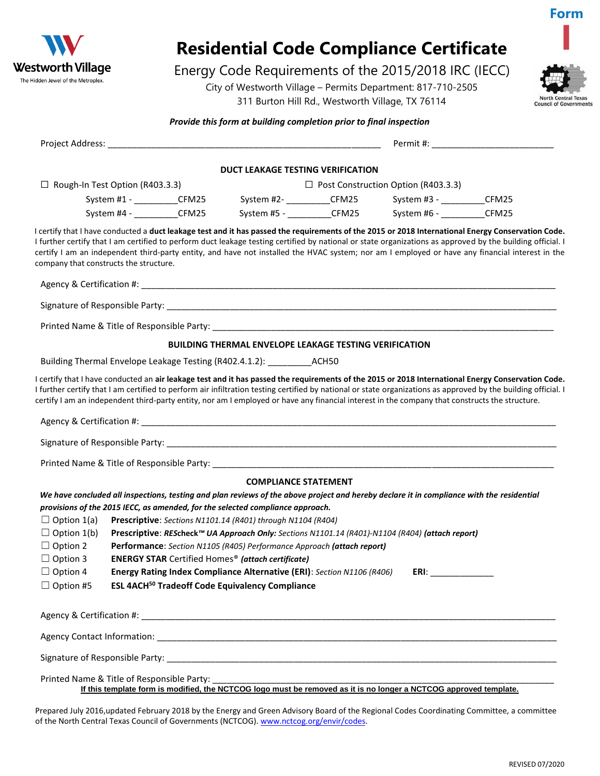

# **Residential Code Compliance Certificate**

### Energy Code Requirements of the 2015/2018 IRC (IECC)

City of Westworth Village – Permits Department: 817-710-2505 311 Burton Hill Rd., Westworth Village, TX 76114



**Form**

**I**

#### *Provide this form at building completion prior to final inspection*

|                                        |                                            | DUCT LEAKAGE TESTING VERIFICATION                                                                                                             |                                                                                                                                                |                                                                                                                                                                                                                                                                                                                                                                                                                                                                     |
|----------------------------------------|--------------------------------------------|-----------------------------------------------------------------------------------------------------------------------------------------------|------------------------------------------------------------------------------------------------------------------------------------------------|---------------------------------------------------------------------------------------------------------------------------------------------------------------------------------------------------------------------------------------------------------------------------------------------------------------------------------------------------------------------------------------------------------------------------------------------------------------------|
| $\Box$ Rough-In Test Option (R403.3.3) |                                            |                                                                                                                                               | $\Box$ Post Construction Option (R403.3.3)                                                                                                     |                                                                                                                                                                                                                                                                                                                                                                                                                                                                     |
|                                        | System #1 - CFM25                          |                                                                                                                                               | System #2- ____________CFM25 System #3 - ____________CFM25                                                                                     |                                                                                                                                                                                                                                                                                                                                                                                                                                                                     |
|                                        | System #4 - ___________CFM25               |                                                                                                                                               | System #5 - ____________CFM25 System #6 - ____________CFM25                                                                                    |                                                                                                                                                                                                                                                                                                                                                                                                                                                                     |
| company that constructs the structure. |                                            |                                                                                                                                               |                                                                                                                                                | I certify that I have conducted a duct leakage test and it has passed the requirements of the 2015 or 2018 International Energy Conservation Code.<br>I further certify that I am certified to perform duct leakage testing certified by national or state organizations as approved by the building official. I<br>certify I am an independent third-party entity, and have not installed the HVAC system; nor am I employed or have any financial interest in the |
|                                        |                                            |                                                                                                                                               |                                                                                                                                                |                                                                                                                                                                                                                                                                                                                                                                                                                                                                     |
|                                        |                                            |                                                                                                                                               |                                                                                                                                                |                                                                                                                                                                                                                                                                                                                                                                                                                                                                     |
|                                        |                                            |                                                                                                                                               |                                                                                                                                                |                                                                                                                                                                                                                                                                                                                                                                                                                                                                     |
|                                        |                                            | <b>BUILDING THERMAL ENVELOPE LEAKAGE TESTING VERIFICATION</b>                                                                                 |                                                                                                                                                |                                                                                                                                                                                                                                                                                                                                                                                                                                                                     |
|                                        |                                            | Building Thermal Envelope Leakage Testing (R402.4.1.2): _________________________                                                             |                                                                                                                                                |                                                                                                                                                                                                                                                                                                                                                                                                                                                                     |
|                                        |                                            |                                                                                                                                               | certify I am an independent third-party entity, nor am I employed or have any financial interest in the company that constructs the structure. | I certify that I have conducted an air leakage test and it has passed the requirements of the 2015 or 2018 International Energy Conservation Code.<br>I further certify that I am certified to perform air infiltration testing certified by national or state organizations as approved by the building official. I                                                                                                                                                |
|                                        |                                            |                                                                                                                                               |                                                                                                                                                |                                                                                                                                                                                                                                                                                                                                                                                                                                                                     |
|                                        |                                            |                                                                                                                                               |                                                                                                                                                |                                                                                                                                                                                                                                                                                                                                                                                                                                                                     |
|                                        |                                            | <b>COMPLIANCE STATEMENT</b>                                                                                                                   |                                                                                                                                                |                                                                                                                                                                                                                                                                                                                                                                                                                                                                     |
|                                        |                                            | provisions of the 2015 IECC, as amended, for the selected compliance approach.                                                                | We have concluded all inspections, testing and plan reviews of the above project and hereby declare it in compliance with the residential      |                                                                                                                                                                                                                                                                                                                                                                                                                                                                     |
| $\Box$ Option 1(a)                     |                                            | Prescriptive: Sections N1101.14 (R401) through N1104 (R404)                                                                                   |                                                                                                                                                |                                                                                                                                                                                                                                                                                                                                                                                                                                                                     |
| $\Box$ Option 1(b)<br>$\Box$ Option 2  |                                            |                                                                                                                                               | Prescriptive: REScheck™ UA Approach Only: Sections N1101.14 (R401)-N1104 (R404) (attach report)                                                |                                                                                                                                                                                                                                                                                                                                                                                                                                                                     |
| $\Box$ Option 3                        |                                            | Performance: Section N1105 (R405) Performance Approach (attach report)<br><b>ENERGY STAR Certified Homes<sup>®</sup> (attach certificate)</b> |                                                                                                                                                |                                                                                                                                                                                                                                                                                                                                                                                                                                                                     |
| $\Box$ Option 4                        |                                            | Energy Rating Index Compliance Alternative (ERI): Section N1106 (R406)                                                                        | ERI:                                                                                                                                           |                                                                                                                                                                                                                                                                                                                                                                                                                                                                     |
| $\Box$ Option #5                       |                                            | <b>ESL 4ACH<sup>50</sup> Tradeoff Code Equivalency Compliance</b>                                                                             |                                                                                                                                                |                                                                                                                                                                                                                                                                                                                                                                                                                                                                     |
|                                        |                                            |                                                                                                                                               |                                                                                                                                                |                                                                                                                                                                                                                                                                                                                                                                                                                                                                     |
|                                        |                                            |                                                                                                                                               |                                                                                                                                                |                                                                                                                                                                                                                                                                                                                                                                                                                                                                     |
|                                        |                                            |                                                                                                                                               |                                                                                                                                                |                                                                                                                                                                                                                                                                                                                                                                                                                                                                     |
|                                        | Printed Name & Title of Responsible Party: |                                                                                                                                               | If this template form is modified, the NCTCOG logo must be removed as it is no longer a NCTCOG approved template.                              |                                                                                                                                                                                                                                                                                                                                                                                                                                                                     |

Prepared July 2016,updated February 2018 by the Energy and Green Advisory Board of the Regional Codes Coordinating Committee, a committee of the North Central Texas Council of Governments (NCTCOG). www.nctcog.org/envir/codes.